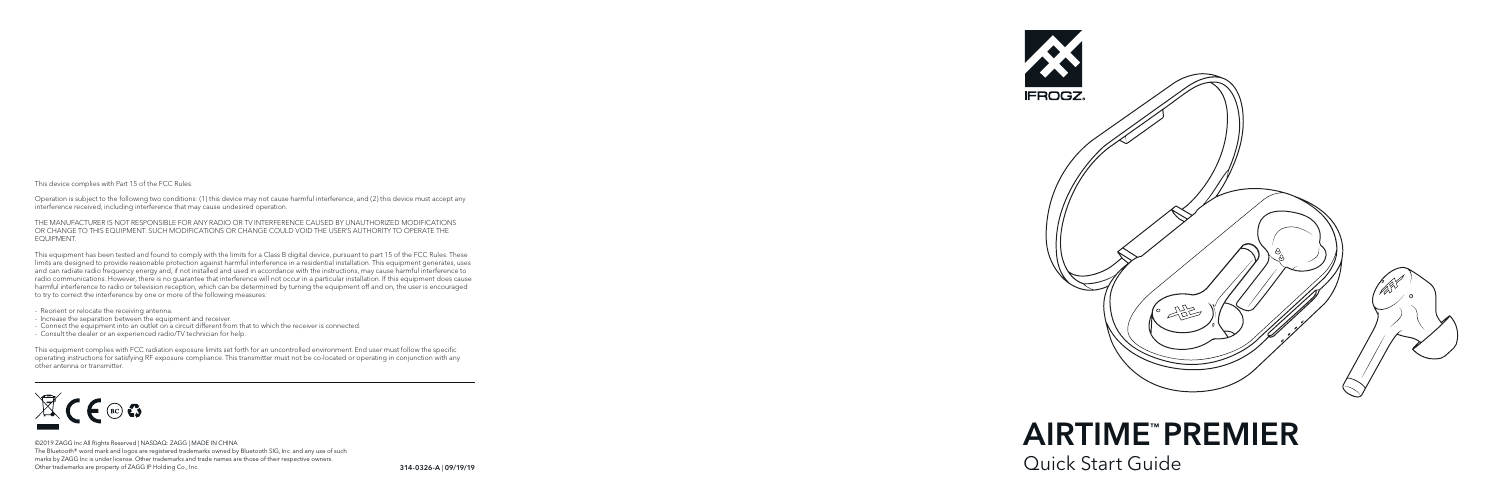This device complies with Part 15 of the FCC Rules.

Operation is subject to the following two conditions: (1) this device may not cause harmful interference, and (2) this device must accept any interference received, including interference that may cause undesired operation.

THE MANUFACTURER IS NOT RESPONSIBLE FOR ANY RADIO OR TV INTERFERENCE CAUSED BY UNAUTHORIZED MODIFICATIONS OR CHANGE TO THIS EQUIPMENT. SUCH MODIFICATIONS OR CHANGE COULD VOID THE USER'S AUTHORITY TO OPERATE THE EQUIPMENT.

This equipment has been tested and found to comply with the limits for a Class B digital device, pursuant to part 15 of the FCC Rules. These limits are designed to provide reasonable protection against harmful interference in a residential installation. This equipment generates, uses and can radiate radio frequency energy and, if not installed and used in accordance with the instructions, may cause harmful interference to radio communications. However, there is no guarantee that interference will not occur in a particular installation. If this equipment does cause harmful interference to radio or television reception, which can be determined by turning the equipment off and on, the user is encouraged to try to correct the interference by one or more of the following measures:

- Reorient or relocate the receiving antenna.

- Increase the separation between the equipment and receiver.
- Connect the equipment into an outlet on a circuit different from that to which the receiver is connected.
- Consult the dealer or an experienced radio/TV technician for help.

This equipment complies with FCC radiation exposure limits set forth for an uncontrolled environment. End user must follow the specific operating instructions for satisfying RF exposure compliance. This transmitter must not be co-located or operating in conjunction with any other antenna or transmitter.



©2019 ZAGG Inc All Rights Reserved | NASDAQ: ZAGG | MADE IN CHINA The Bluetooth® word mark and logos are registered trademarks owned by Bluetooth SIG, Inc. and any use of such marks by ZAGG Inc is under license. Other trademarks and trade names are those of their respective owners. Other trademarks are property of ZAGG IP Holding Co., Inc.

314-0326-A



AIRTIME™PREMIER

<sup>|</sup> 09/19/19 Quick Start Guide